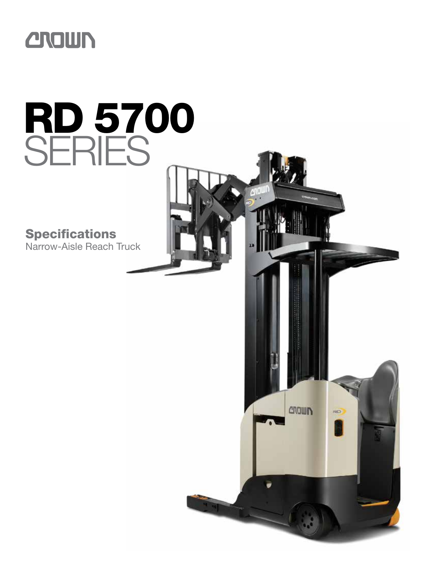

# RD 5700 SERIES

**CROWN** 

RD

**Specifications** Narrow-Aisle Reach Truck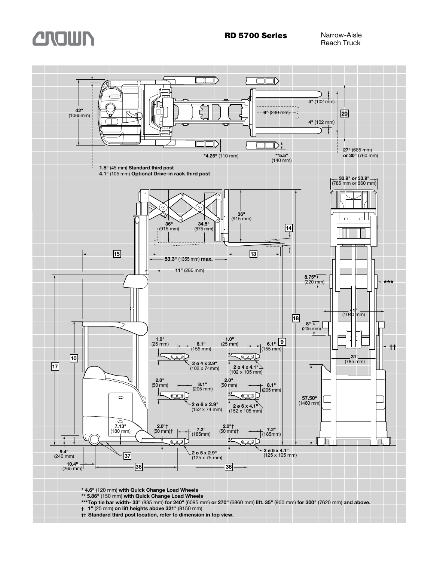



- **\*\* 5.86"** (150 mm) **with Quick Change Load Wheels**
- **\*\*\*Top tie bar width- 33"** (835 mm) **for 240"** (6095 mm) **or 270"** (6860 mm) **lift. 35"** (900 mm) **for 300"** (7620 mm) **and above.**
- **† 1"** (25 mm) **on lift heights above 321"** (8150 mm)
- **†† Standard third post location, refer to dimension in top view.**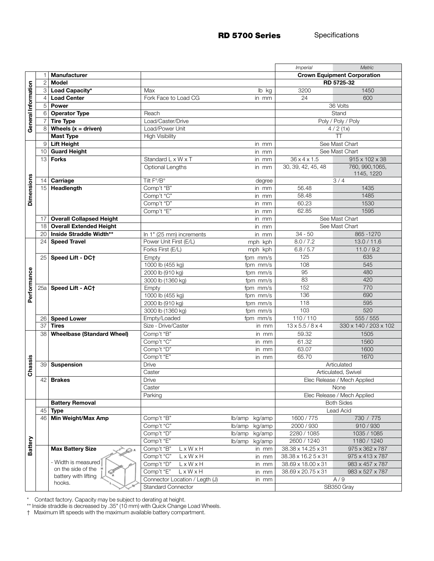RD 5700 Series Specifications

|                     |                         |                                   |                                |                  | <i><b>Imperial</b></i>                           | Metric                        |  |  |  |
|---------------------|-------------------------|-----------------------------------|--------------------------------|------------------|--------------------------------------------------|-------------------------------|--|--|--|
|                     | 1                       | <b>Manufacturer</b>               |                                |                  | <b>Crown Equipment Corporation</b>               |                               |  |  |  |
|                     | $\overline{2}$          | <b>Model</b>                      |                                |                  | RD 5725-32                                       |                               |  |  |  |
|                     | 3                       | Load Capacity*                    | Max                            | lb kg            | 3200                                             | 1450                          |  |  |  |
| General Information |                         | <b>Load Center</b>                | Fork Face to Load CG           | in mm            | 600<br>24                                        |                               |  |  |  |
|                     | 5                       | <b>Power</b>                      |                                |                  | 36 Volts                                         |                               |  |  |  |
|                     | 6                       | <b>Operator Type</b>              | Reach                          |                  | Stand                                            |                               |  |  |  |
|                     |                         | <b>Tire Type</b>                  | Load/Caster/Drive              |                  |                                                  | Poly / Poly / Poly            |  |  |  |
|                     | 8                       | Wheels $(x =$ driven)             | Load/Power Unit                |                  |                                                  | 4/2(1x)                       |  |  |  |
|                     |                         | <b>Mast Type</b>                  | <b>High Visibility</b>         |                  |                                                  | $\overline{\mathsf{T}}$       |  |  |  |
|                     | 9                       | <b>Lift Height</b>                |                                | in mm            |                                                  | See Mast Chart                |  |  |  |
|                     | 10                      | <b>Guard Height</b>               |                                |                  | See Mast Chart                                   |                               |  |  |  |
|                     | 13                      | <b>Forks</b>                      | Standard L x W x T             | in mm            | $36 \times 4 \times 1.5$                         | 915 x 102 x 38                |  |  |  |
|                     |                         |                                   | Optional Lengths               | in mm            | 30, 39, 42, 45, 48                               | 760, 990, 1065,<br>1145, 1220 |  |  |  |
|                     | 14                      | Carriage                          | Tilt F°/B°                     | degree           |                                                  | 3/4                           |  |  |  |
|                     | 15                      | Headlength                        | Comp't "B"                     | in mm            | 56.48                                            | 1435                          |  |  |  |
| <b>Dimensions</b>   |                         |                                   | Comp't "C"                     | in mm            | 58.48                                            | 1485                          |  |  |  |
|                     |                         |                                   | Comp't "D"                     | in mm            | 60.23                                            | 1530                          |  |  |  |
|                     |                         |                                   | Comp't "E"                     | 62.85<br>in mm   |                                                  |                               |  |  |  |
|                     | 17                      | <b>Overall Collapsed Height</b>   |                                | in mm            | See Mast Chart                                   |                               |  |  |  |
|                     | 18                      | <b>Overall Extended Height</b>    |                                | in mm            | See Mast Chart                                   |                               |  |  |  |
|                     | 20                      | Inside Straddle Width**           | In 1" (25 mm) increments       | in mm            | $34 - 50$                                        | 865-1270                      |  |  |  |
|                     | 24                      | <b>Speed Travel</b>               | Power Unit First (E/L)         | mph kph          | 8.0 / 7.2                                        | 13.0 / 11.6                   |  |  |  |
|                     |                         |                                   | Forks First (E/L)              | mph kph          | 6.8 / 5.7                                        | 11.0 / 9.2                    |  |  |  |
|                     | 25                      | Speed Lift - DC+                  | Empty                          | fpm mm/s         | 125                                              | 635                           |  |  |  |
|                     |                         |                                   | 1000 lb (455 kg)               | fpm mm/s         | 108                                              | 545                           |  |  |  |
|                     |                         |                                   | 2000 lb (910 kg)               | fpm mm/s         | 95                                               | 480                           |  |  |  |
|                     |                         |                                   | 3000 lb (1360 kg)              | fpm mm/s         | 83                                               | 420                           |  |  |  |
| Performance         | 25a                     | Speed Lift - AC+                  | Empty                          | fpm mm/s         | 152                                              | 770                           |  |  |  |
|                     |                         |                                   | 1000 lb (455 kg)               | fpm mm/s         | 136                                              | 690                           |  |  |  |
|                     |                         |                                   | 2000 lb (910 kg)               | fpm mm/s         | 118                                              | 595                           |  |  |  |
|                     |                         |                                   | 3000 lb (1360 kg)              | fpm mm/s         | 103                                              | 520                           |  |  |  |
|                     | 26                      | <b>Speed Lower</b>                | Empty/Loaded                   | fpm mm/s         | 110/110                                          | 555 / 555                     |  |  |  |
|                     | 37                      | <b>Tires</b>                      | Size - Drive/Caster            | in mm            | $13 \times 5.5 / 8 \times 4$                     | 330 x 140 / 203 x 102         |  |  |  |
|                     | 38                      | <b>Wheelbase (Standard Wheel)</b> | Comp't "B"                     | in mm            | 59.32                                            | 1505                          |  |  |  |
|                     |                         |                                   | Comp't "C"                     | in mm            | 61.32                                            | 1560                          |  |  |  |
|                     |                         |                                   | Comp't "D"                     | in mm            | 63.07                                            | 1600                          |  |  |  |
| Chassis             |                         |                                   | Comp't "E"                     | in mm            | 65.70                                            | 1670                          |  |  |  |
|                     | 39                      | Suspension                        | Drive                          |                  | Articulated                                      |                               |  |  |  |
|                     |                         |                                   | Caster                         |                  |                                                  | Articulated, Swivel           |  |  |  |
|                     | 42                      | <b>Brakes</b>                     | Drive                          |                  | Elec Release / Mech Applied<br>None              |                               |  |  |  |
|                     |                         |                                   | Caster<br>Parking              |                  |                                                  |                               |  |  |  |
|                     |                         | <b>Battery Removal</b>            |                                |                  | Elec Release / Mech Applied<br><b>Both Sides</b> |                               |  |  |  |
|                     | 45                      | <b>Type</b>                       |                                |                  | Lead Acid                                        |                               |  |  |  |
|                     | 46                      | Min Weight/Max Amp                | Comp't "B"                     | lb/amp<br>kg/amp | 1600/775                                         | 730 / 775                     |  |  |  |
|                     |                         |                                   | Comp't "C"                     | lb/amp<br>kg/amp | 2000 / 930                                       | 910/930                       |  |  |  |
|                     |                         |                                   | Comp't "D"                     | kg/amp<br>lb/amp | 2280 / 1085                                      | 1035 / 1085                   |  |  |  |
|                     |                         |                                   | Comp't "E"                     | lb/amp<br>kg/amp | 2600 / 1240                                      | 1180 / 1240                   |  |  |  |
| Battery             |                         | <b>Max Battery Size</b>           | Comp't "B"<br>LxWxH            | in mm            | 38.38 x 14.25 x 31                               | 975 x 362 x 787               |  |  |  |
|                     |                         |                                   | Comp't "C"<br>LxWxH            | in mm            | 38.38 x 16.2 5 x 31                              | 975 x 413 x 787               |  |  |  |
|                     |                         | - Width is measured               | Comp't "D"<br>LxWxH            | in mm            | 38.69 x 18.00 x 31                               | 983 x 457 x 787               |  |  |  |
|                     | on the side of the<br>Ž |                                   | L x W x H<br>Comp't "E"        | in mm            | 38.69 x 20.75 x 31                               | 983 x 527 x 787               |  |  |  |
|                     |                         | battery with lifting              | Connector Location / Legth (J) | in mm            | A/9                                              |                               |  |  |  |
|                     |                         | hooks.                            | <b>Standard Connector</b>      |                  | SB350 Gray                                       |                               |  |  |  |
|                     |                         |                                   |                                |                  |                                                  |                               |  |  |  |

\* Contact factory. Capacity may be subject to derating at height.

\*\* Inside straddle is decreased by .35" (10 mm) with Quick Change Load Wheels.

† Maximum lift speeds with the maximum available battery compartment.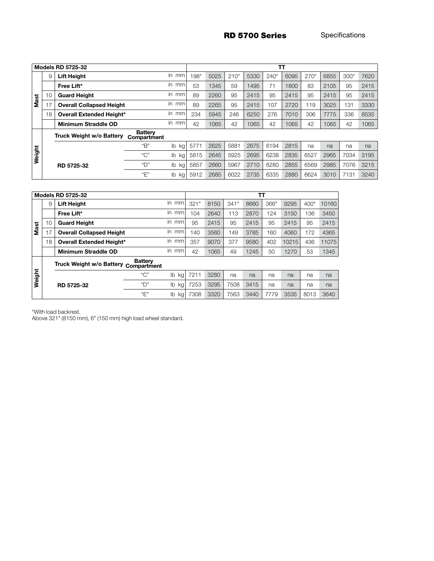RD 5700 Series Specifications

| <b>Models RD 5725-32</b> |    |                                 |                               | TТ                              |      |      |      |      |      |      |      |      |      |      |
|--------------------------|----|---------------------------------|-------------------------------|---------------------------------|------|------|------|------|------|------|------|------|------|------|
|                          | 9  | <b>Lift Height</b>              |                               | in mm                           | 198" | 5025 | 210" | 5330 | 240" | 6095 | 270" | 6855 | 300" | 7620 |
| <b>Mast</b>              |    | Free Lift*                      |                               | in mm                           | 53   | 1345 | 59   | 1495 | 71   | 1800 | 83   | 2105 | 95   | 2415 |
|                          | 10 | <b>Guard Height</b>             |                               | in mm                           | 89   | 2260 | 95   | 2415 | 95   | 2415 | 95   | 2415 | 95   | 2415 |
|                          | 17 | <b>Overall Collapsed Height</b> |                               | in mm                           | 89   | 2265 | 95   | 2415 | 107  | 2720 | 119  | 3025 | 131  | 3330 |
|                          | 18 | <b>Overall Extended Height*</b> |                               | in mm                           | 234  | 5945 | 246  | 6250 | 276  | 7010 | 306  | 7775 | 336  | 8535 |
|                          |    | Minimum Straddle OD             |                               | in mm                           | 42   | 1065 | 42   | 1065 | 42   | 1065 | 42   | 1065 | 42   | 1065 |
|                          |    | Truck Weight w/o Battery        | <b>Battery</b><br>Compartment |                                 |      |      |      |      |      |      |      |      |      |      |
| Weight                   |    |                                 | "B"                           | $\mathsf{I}^{\mathsf{b}}$<br>kg | 5771 | 2625 | 5881 | 2675 | 6194 | 2815 | na   | na   | na   | na   |
|                          |    |                                 | "C"                           | I <sub>b</sub><br>kg l          | 5815 | 2645 | 5925 | 2695 | 6238 | 2835 | 6527 | 2965 | 7034 | 3195 |
|                          |    | RD 5725-32                      | "D"                           | lb<br>kg                        | 5857 | 2660 | 5967 | 2710 | 6280 | 2855 | 6569 | 2985 | 7076 | 3215 |
|                          |    |                                 | "E"                           | lb<br>kg                        | 5912 | 2685 | 6022 | 2735 | 6335 | 2880 | 6624 | 3010 | 7131 | 3240 |

| <b>Models RD 5725-32</b> |    |                                 |                               |           |      | тτ   |      |      |      |       |      |       |  |  |
|--------------------------|----|---------------------------------|-------------------------------|-----------|------|------|------|------|------|-------|------|-------|--|--|
|                          | 9  | <b>Lift Height</b>              |                               | in<br>mm  | 321" | 8150 | 341" | 8660 | 366" | 9295  | 400" | 10160 |  |  |
|                          |    | Free Lift*                      |                               | in.<br>mm | 104  | 2640 | 113  | 2870 | 124  | 3150  | 136  | 3450  |  |  |
| t,                       | 10 | <b>Guard Height</b>             |                               | in<br>mm  | 95   | 2415 | 95   | 2415 | 95   | 2415  | 95   | 2415  |  |  |
| Š                        | 7  | <b>Overall Collapsed Height</b> |                               | in<br>mm  | 140  | 3560 | 149  | 3785 | 160  | 4060  | 172  | 4365  |  |  |
|                          | 18 | <b>Overall Extended Height*</b> |                               | in<br>mm  | 357  | 9070 | 377  | 9580 | 402  | 10215 | 436  | 11075 |  |  |
|                          |    | Minimum Straddle OD             |                               | in<br>mm  | 42   | 1065 | 49   | 1245 | 50   | 1270  | 53   | 1345  |  |  |
|                          |    | Truck Weight w/o Battery        | <b>Battery</b><br>Compartment |           |      |      |      |      |      |       |      |       |  |  |
| Weight                   |    |                                 | C''                           | lb<br>kg  | 7211 | 3280 | na   | na   | na   | na    | na   | na    |  |  |
|                          |    | RD 5725-32                      | "门"                           | lb<br>kg  | 7253 | 3295 | 7508 | 3415 | na   | na    | na   | na    |  |  |

"E" lb kg 7308 3320 7563 3440 7779 3535 8013 3640

\*With load backrest.

Above 321" (8150 mm), 6" (150 mm) high load wheel standard.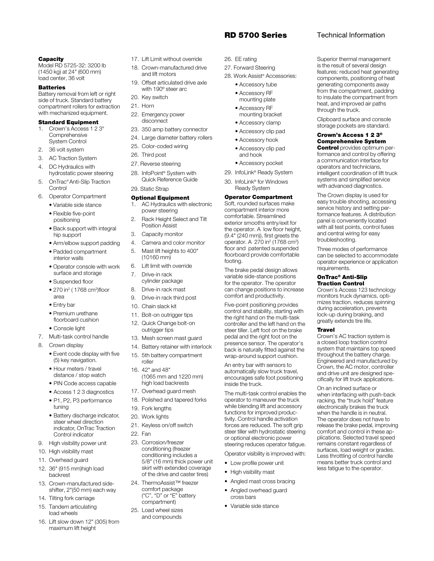# RD 5700 Series Technical Information

Superior thermal management is the result of several design features: reduced heat generating components, positioning of heat generating components away from the compartment, padding to insulate the compartment from heat, and improved air paths

Clipboard surface and console storage pockets are standard. Crown's Access 1 2 3® Comprehensive System **Control** provides optimum performance and control by offering a communication interface for operators and technicians, intelligent coordination of lift truck systems and simplified service with advanced diagnostics. The Crown display is used for easy trouble shooting, accessing service history and setting performance features. A distribution panel is conveniently located with all test points, control fuses and central wiring for easy troubleshooting.

Three modes of performance can be selected to accommodate operator experience or application

Crown's Access 123 technology monitors truck dynamics, optimizes traction, reduces spinning during acceleration, prevents lock-up during braking, and greatly extends tire life.

Crown's AC traction system is a closed loop traction control system that maintains top speed throughout the battery charge. Engineered and manufactured by Crown, the AC motor, controller and drive unit are designed specifically for lift truck applications. On an inclined surface or when interfacing with push-back racking, the "truck hold" feature electronically brakes the truck when the handle is in neutral. The operator does not have to release the brake pedal, improving comfort and control in these applications. Selected travel speed remains constant regardless of surfaces, load weight or grades. Less throttling of control handle means better truck control and less fatigue to the operator.

requirements. OnTrac® Anti-Slip Traction Control

Travel

through the truck.

#### **Capacity**

Model RD 5725-32: 3200 lb (1450 kg) at 24" (600 mm) load center, 36 volt

#### **Batteries**

Battery removal from left or right side of truck. Standard battery compartment rollers for extraction with mechanized equipment.

# Standard Equipment

- 1. Crown's Access 1 2 3® **Comprehensive** System Control
- 2. 36 volt system
- 3. AC Traction System
- 4. DC Hydraulics with hydrostatic power steering
- 5. OnTrac® Anti-Slip Traction **Control**
- 6. Operator Compartment • Variable side stance
	- Flexible five-point positioning
	- Back support with integral hip support
	- Arm/elbow support padding
	- Padded compartment interior walls
	- Operator console with work surface and storage
	- Suspended floor
- 270 in<sup>2</sup> ( 1768 cm<sup>2</sup>)floor area
	- Entry bar
	- Premium urethane floorboard cushion
	- Console light
- 7. Multi-task control handle
- 8. Crown display
	- Event code display with five (5) key navigation.
	- Hour meters / travel distance / stop watch
	- PIN Code access capable
	- Access 1 2 3 diagnostics
	- P1, P2, P3 performance tuning
	- Battery discharge indicator, steer wheel direction indicator, OnTrac Traction Control indicator
- 9. High visibility power unit
- 10. High visibility mast
- 11. Overhead guard
- 12. 36" (915 mm)high load backrest
- 13. Crown-manufactured sideshifter, 2"(50 mm) each way
- 14. Tilting fork carriage
- 15. Tandem articulating load wheels
- 16. Lift slow down 12" (305) from maximum lift height
- 17. Lift Limit without override
- 18. Crown-manufactured drive and lift motors
- 19. Offset articulated drive axle with 190º steer arc
- 20. Key switch
- 21. Horn
- 22. Emergency power disconnect
- 23. 350 amp battery connector
- 24. Large diameter battery rollers
- 25. Color-coded wiring
- 26. Third post
- 27. Reverse steering
- 28. InfoPoint® System with Quick Reference Guide 29. Static Strap

# Optional Equipment

- 1. AC Hydraulics with electronic power steering
- 2. Rack Height Select and Tilt Position Assist
- 3. Capacity monitor
- 4. Camera and color monitor
- 5. Mast lift heights to 400" (10160 mm)
- 6. Lift limit with override
- 7. Drive-in rack cylinder package
- 8. Drive-in rack mast
- 9. Drive-in rack third post
- 10. Chain slack kit
- 11. Bolt-on outrigger tips
- 12. Quick Change bolt-on
- outrigger tips
- 13. Mesh screen mast guard
- 14. Battery retainer with interlock
- 15. 5th battery compartment roller
- 16. 42" and 48" (1065 mm and 1220 mm) high load backrests
- 17. Overhead guard mesh
- 18. Polished and tapered forks
- 19. Fork lengths
- 20. Work lights
- 21. Keyless on/off switch
- 22. Fan
- 23. Corrosion/freezer conditioning (freezer conditioning includes a 5/8" (16 mm) thick power unit skirt with extended coverage of the drive and caster tires)
- 24. ThermoAssist™ freezer comfort package ("C", "D" or "E" battery compartment)
- 25. Load wheel sizes and compounds
- 26. EE rating
- 27. Forward Steering
- 28. Work Assist® Accessories:
	- Accessory tube • Accessory RF mounting plate
	- Accessory RF mounting bracket
	- Accessory clamp
	- Accessory clip pad
	- Accessory hook
	- Accessory clip pad and hook
	- Accessory pocket
- 29. InfoLink® Ready System 30. InfoLink® for Windows

# Ready System Operator Compartment

Soft, rounded surfaces make compartment interior more comfortable. Streamlined exterior smooths entry/exit for the operator. A low floor height, (9.4" (240 mm)), first greets the operator. A 270 in<sup>2</sup> (1768 cm<sup>2</sup>) floor and patented suspended floorboard provide comfortable footing.

The brake pedal design allows variable side-stance positions for the operator. The operator can change positions to increase comfort and productivity.

Five-point positioning provides control and stability, starting with the right hand on the multi-task controller and the left hand on the steer tiller. Left foot on the brake pedal and the right foot on the presence sensor. The operator's back is naturally fitted against the wrap-around support cushion.

An entry bar with sensors to automatically slow truck travel, encourages safe foot positioning inside the truck.

The multi-task control enables the operator to maneuver the truck while blending lift and accessory functions for improved productivity. Control handle activation forces are reduced. The soft grip steer tiller with hydrostatic steering or optional electronic power steering reduces operator fatigue.

Operator visibility is improved with:

- Low profile power unit
- High visibility mast
- Angled mast cross bracing
- Angled overhead guard cross bars

• Variable side stance